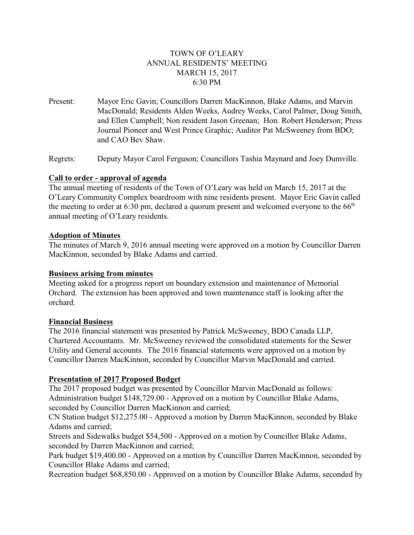# TOWN OF O'LEARY ANNUAL RESIDENTS' MEETING MARCH 15, 2017 6:30 PM

Present: Mayor Eric Gavin; Councillors Darren MacKinnon, Blake Adams, and Marvin MacDonald; Residents Alden Weeks, Audrey Weeks, Carol Palmer, Doug Smith, and Ellen Campbell; Non resident Jason Greenan; Hon. Robert Henderson; Press Journal Pioneer and West Prince Graphic; Auditor Pat McSweeney from BDO; and CAO Bev Shaw.

Regrets: Deputy Mayor Carol Ferguson; Councillors Tashia Maynard and Joey Dumville.

### **Call to order - approval of agenda**

The annual meeting of residents of the Town of O'Leary was held on March 15, 2017 at the O'Leary Community Complex boardroom with nine residents present. Mayor Eric Gavin called the meeting to order at 6:30 pm, declared a quorum present and welcomed everyone to the  $66<sup>th</sup>$ annual meeting of O'Leary residents.

#### **Adoption of Minutes**

The minutes of March 9, 2016 annual meeting were approved on a motion by Councillor Darren MacKinnon, seconded by Blake Adams and carried.

#### **Business arising from minutes**

Meeting asked for a progress report on boundary extension and maintenance of Memorial Orchard. The extension has been approved and town maintenance staff is looking after the orchard.

#### **Financial Business**

The 2016 financial statement was presented by Patrick McSweeney, BDO Canada LLP, Chartered Accountants. Mr. McSweeney reviewed the consolidated statements for the Sewer Utility and General accounts. The 2016 financial statements were approved on a motion by Councillor Darren MacKinnon, seconded by Councillor Marvin MacDonald and carried.

## **Presentation of 2017 Proposed Budget**

The 2017 proposed budget was presented by Councillor Marvin MacDonald as follows: Administration budget \$148,729.00 - Approved on a motion by Councillor Blake Adams, seconded by Councillor Darren MacKinnon and carried;

CN Station budget \$12,275.00 - Approved a motion by Darren MacKinnon, seconded by Blake Adams and carried;

Streets and Sidewalks budget \$54,500 - Approved on a motion by Councillor Blake Adams, seconded by Darren MacKinnon and carried;

Park budget \$19,400.00 - Approved on a motion by Councillor Darren MacKinnon, seconded by Councillor Blake Adams and carried;

Recreation budget \$68,850.00 - Approved on a motion by Councillor Blake Adams, seconded by